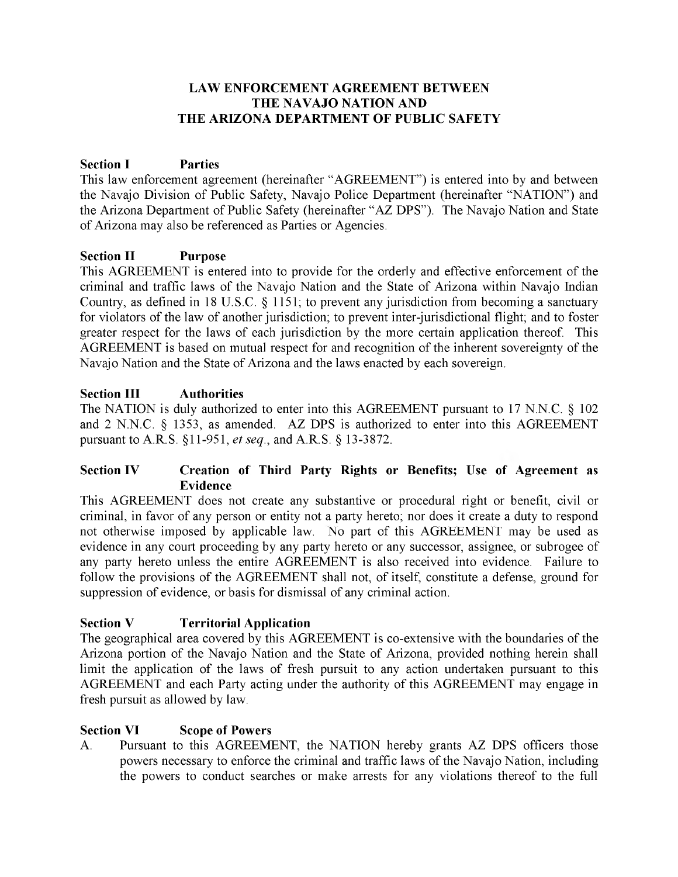#### **LAW ENFORCEMENT AGREEMENT BETWEEN THE NAVAJO NATION AND THE ARIZONA DEPARTMENT OF PUBLIC SAFETY**

## **Section I Parties**

This law enforcement agreement (hereinafter "AGREEMENT") is entered into by and between the Navajo Division of Public Safety, Navajo Police Department (hereinafter "NATION") and the Arizona Department of Public Safety (hereinafter "AZ DPS"). The Navajo Nation and State of Arizona may also be referenced as Parties or Agencies.

#### **Section II Purpose**

This AGREEMENT is entered into to provide for the orderly and effective enforcement of the criminal and traffic laws of the Navajo Nation and the State of Arizona within Navajo Indian Country, as defined in 18 U.S.C. § 1151; to prevent any jurisdiction from becoming a sanctuary for violators of the law of another jurisdiction; to prevent inter-jurisdictional flight; and to foster greater respect for the laws of each jurisdiction by the more certain application thereof. This AGREEMENT is based on mutual respect for and recognition of the inherent sovereignty of the Navajo Nation and the State of Arizona and the laws enacted by each sovereign.

#### **Section III Authorities**

The NATION is duly authorized to enter into this AGREEMENT pursuant to 17 N.N.C. § 102 and 2 N.N.C. § 1353, as amended. AZ DPS is authorized to enter into this AGREEMENT pursuant to A.R.S. §11-951, *et seq,* and A.R.S. § 13-3872.

#### **Section IV Creation of Third Party Rights or Benefits; Use of Agreement as Evidence**

This AGREEMENT does not create any substantive or procedural right or benefit, civil or criminal, in favor of any person or entity not a party hereto; nor does it create a duty to respond not otherwise imposed by applicable law. No part of this AGREEMENT may be used as evidence in any court proceeding by any party hereto or any successor, assignee, or subrogee of any party hereto unless the entire AGREEMENT is also received into evidence. Failure to follow the provisions of the AGREEMENT shall not, of itself, constitute a defense, ground for suppression of evidence, or basis for dismissal of any criminal action.

#### **Section V Territorial Application**

The geographical area covered by this AGREEMENT is co-extensive with the boundaries of the Arizona portion of the Navajo Nation and the State of Arizona, provided nothing herein shall limit the application of the laws of fresh pursuit to any action undertaken pursuant to this AGREEMENT and each Party acting under the authority of this AGREEMENT may engage in fresh pursuit as allowed by law.

#### **Section VI Scope of Powers**

A. Pursuant to this AGREEMENT, the NATION hereby grants AZ DPS officers those powers necessary to enforce the criminal and traffic laws of the Navajo Nation, including the powers to conduct searches or make arrests for any violations thereof to the full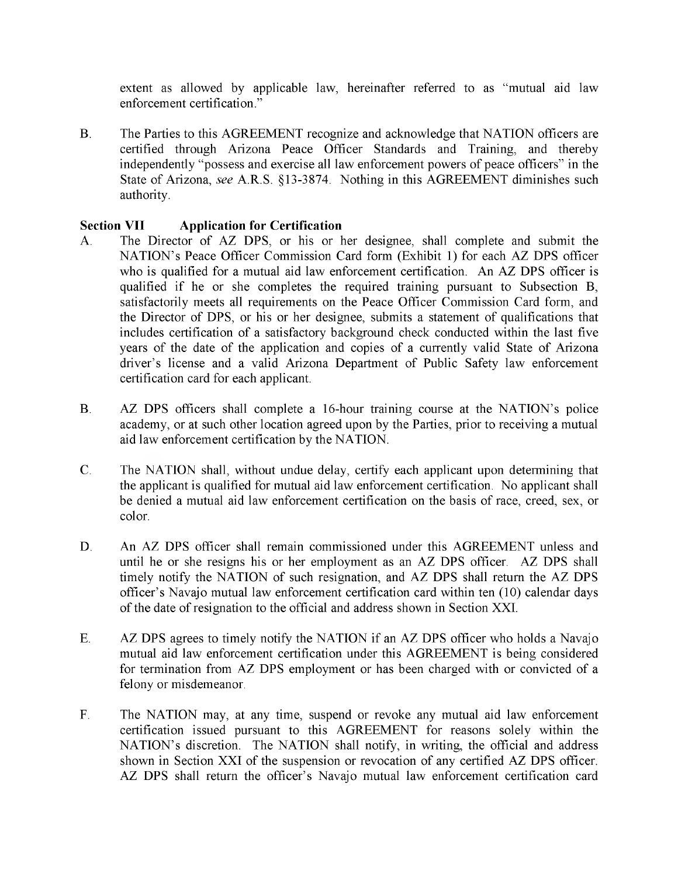extent as allowed by applicable law, hereinafter referred to as "mutual aid law enforcement certification."

B. The Parties to this AGREEMENT recognize and acknowledge that NATION officers are certified through Arizona Peace Officer Standards and Training, and thereby independently "possess and exercise all law enforcement powers of peace officers" in the State of Arizona, *see* A.R.S. §13-3874. Nothing in this AGREEMENT diminishes such authority.

#### **Section VII Application for Certification**

- A. The Director of AZ DPS, or his or her designee, shall complete and submit the NATION's Peace Officer Commission Card form (Exhibit 1) for each AZ DPS officer who is qualified for a mutual aid law enforcement certification. An AZ DPS officer is qualified if he or she completes the required training pursuant to Subsection B, satisfactorily meets all requirements on the Peace Officer Commission Card form, and the Director of DPS, or his or her designee, submits a statement of qualifications that includes certification of a satisfactory background check conducted within the last five years of the date of the application and copies of a currently valid State of Arizona driver's license and a valid Arizona Department of Public Safety law enforcement certification card for each applicant.
- B. AZ DPS officers shall complete a 16-hour training course at the NATION's police academy, or at such other location agreed upon by the Parties, prior to receiving a mutual aid law enforcement certification by the NATION.
- C. The NATION shall, without undue delay, certify each applicant upon determining that the applicant is qualified for mutual aid law enforcement certification. No applicant shall be denied a mutual aid law enforcement certification on the basis of race, creed, sex, or color.
- D. An AZ DPS officer shall remain commissioned under this AGREEMENT unless and until he or she resigns his or her employment as an AZ DPS officer. AZ DPS shall timely notify the NATION of such resignation, and AZ DPS shall return the AZ DPS officer's Navajo mutual law enforcement certification card within ten (10) calendar days of the date of resignation to the official and address shown in Section XXI.
- E. AZ DPS agrees to timely notify the NATION if an AZ DPS officer who holds a Navajo mutual aid law enforcement certification under this AGREEMENT is being considered for termination from AZ DPS employment or has been charged with or convicted of a felony or misdemeanor.
- F. The NATION may, at any time, suspend or revoke any mutual aid law enforcement certification issued pursuant to this AGREEMENT for reasons solely within the NATION's discretion. The NATION shall notify, in writing, the official and address shown in Section XXI of the suspension or revocation of any certified AZ DPS officer. AZ DPS shall return the officer's Navajo mutual law enforcement certification card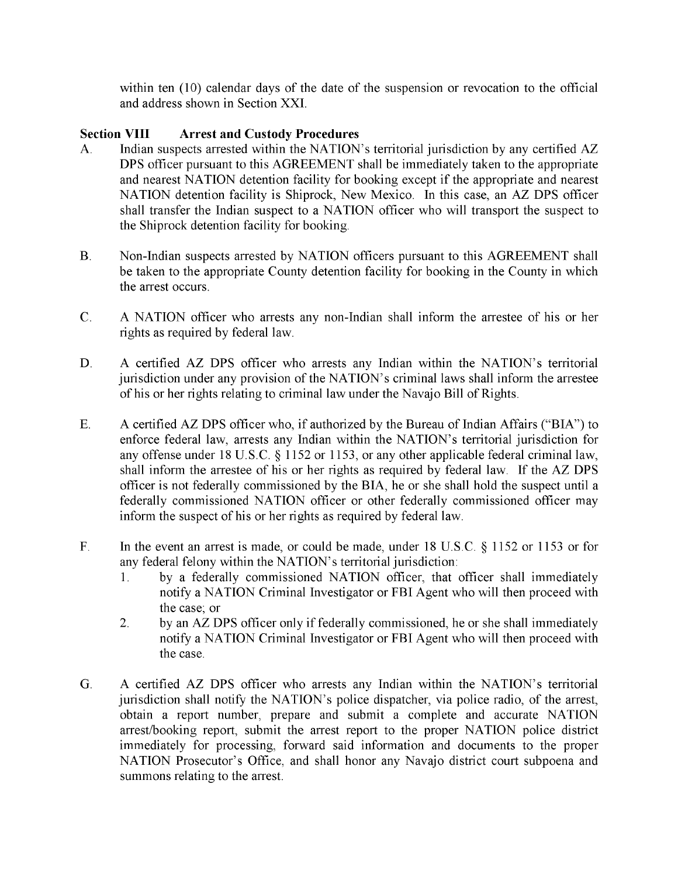within ten (10) calendar days of the date of the suspension or revocation to the official and address shown in Section XXI.

#### **Section VIII Arrest and Custody Procedures**

- A. Indian suspects arrested within the NATION's territorial jurisdiction by any certified AZ DPS officer pursuant to this AGREEMENT shall be immediately taken to the appropriate and nearest NATION detention facility for booking except if the appropriate and nearest NATION detention facility is Shiprock, New Mexico. In this case, an AZ DPS officer shall transfer the Indian suspect to a NATION officer who will transport the suspect to the Shiprock detention facility for booking.
- B. Non-Indian suspects arrested by NATION officers pursuant to this AGREEMENT shall be taken to the appropriate County detention facility for booking in the County in which the arrest occurs.
- C. A NATION officer who arrests any non-Indian shall inform the arrestee of his or her rights as required by federal law.
- D. A certified AZ DPS officer who arrests any Indian within the NATION's territorial jurisdiction under any provision of the NATION's criminal laws shall inform the arrestee of his or her rights relating to criminal law under the Navajo Bill of Rights.
- E. A certified AZ DPS officer who, if authorized by the Bureau of Indian Affairs ("BIA") to enforce federal law, arrests any Indian within the NATION's territorial jurisdiction for any offense under 18 U.S.C. § 1152 or 1153, or any other applicable federal criminal law, shall inform the arrestee of his or her rights as required by federal law. If the AZ DPS officer is not federally commissioned by the BIA, he or she shall hold the suspect until a federally commissioned NATION officer or other federally commissioned officer may inform the suspect of his or her rights as required by federal law.
- F. In the event an arrest is made, or could be made, under 18 U.S.C. § 1152 or 1153 or for any federal felony within the NATION's territorial jurisdiction:
	- 1. by a federally commissioned NATION officer, that officer shall immediately notify a NATION Criminal Investigator or FBI Agent who will then proceed with the case; or
	- 2. by an AZ DPS officer only if federally commissioned, he or she shall immediately notify a NATION Criminal Investigator or FBI Agent who will then proceed with the case.
- G. A certified AZ DPS officer who arrests any Indian within the NATION's territorial jurisdiction shall notify the NATION's police dispatcher, via police radio, of the arrest, obtain a report number, prepare and submit a complete and accurate NATION arrest/booking report, submit the arrest report to the proper NATION police district immediately for processing, forward said information and documents to the proper NATION Prosecutor's Office, and shall honor any Navajo district court subpoena and summons relating to the arrest.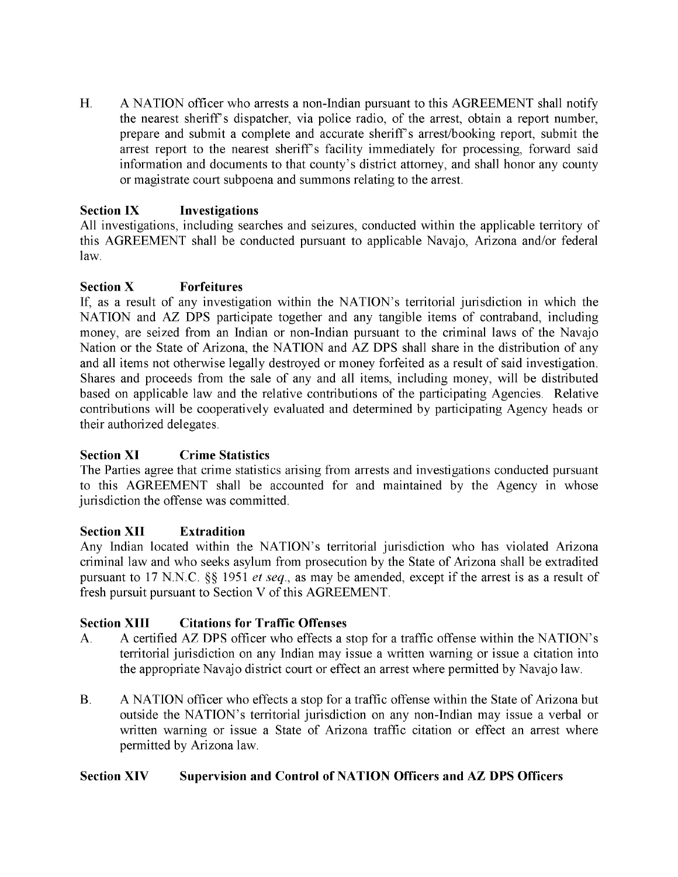H. A NATION officer who arrests a non-Indian pursuant to this AGREEMENT shall notify the nearest sheriff's dispatcher, via police radio, of the arrest, obtain a report number, prepare and submit a complete and accurate sheriff's arrest/booking report, submit the arrest report to the nearest sheriff's facility immediately for processing, forward said information and documents to that county's district attorney, and shall honor any county or magistrate court subpoena and summons relating to the arrest.

# **Section IX Investigations**

All investigations, including searches and seizures, conducted within the applicable territory of this AGREEMENT shall be conducted pursuant to applicable Navajo, Arizona and/or federal law.

#### **Section X Forfeitures**

If, as a result of any investigation within the NATION's territorial jurisdiction in which the NATION and AZ DPS participate together and any tangible items of contraband, including money, are seized from an Indian or non-Indian pursuant to the criminal laws of the Navajo Nation or the State of Arizona, the NATION and AZ DPS shall share in the distribution of any and all items not otherwise legally destroyed or money forfeited as a result of said investigation. Shares and proceeds from the sale of any and all items, including money, will be distributed based on applicable law and the relative contributions of the participating Agencies. Relative contributions will be cooperatively evaluated and determined by participating Agency heads or their authorized delegates.

#### **Section XI Crime Statistics**

The Parties agree that crime statistics arising from arrests and investigations conducted pursuant to this AGREEMENT shall be accounted for and maintained by the Agency in whose jurisdiction the offense was committed.

#### **Section XII Extradition**

Any Indian located within the NATION's territorial jurisdiction who has violated Arizona criminal law and who seeks asylum from prosecution by the State of Arizona shall be extradited pursuant to 17 N.N.C. §§ 1951 *et seq.,* as may be amended, except if the arrest is as a result of fresh pursuit pursuant to Section V of this AGREEMENT.

#### **Section XIII Citations for Traffic Offenses**

- A. A certified AZ DPS officer who effects a stop for a traffic offense within the NATION's territorial jurisdiction on any Indian may issue a written warning or issue a citation into the appropriate Navajo district court or effect an arrest where permitted by Navajo law.
- B. A NATION officer who effects a stop for a traffic offense within the State of Arizona but outside the NATION's territorial jurisdiction on any non-Indian may issue a verbal or written warning or issue a State of Arizona traffic citation or effect an arrest where permitted by Arizona law.

#### **Section XIV Supervision and Control of NATION Officers and AZ DPS Officers**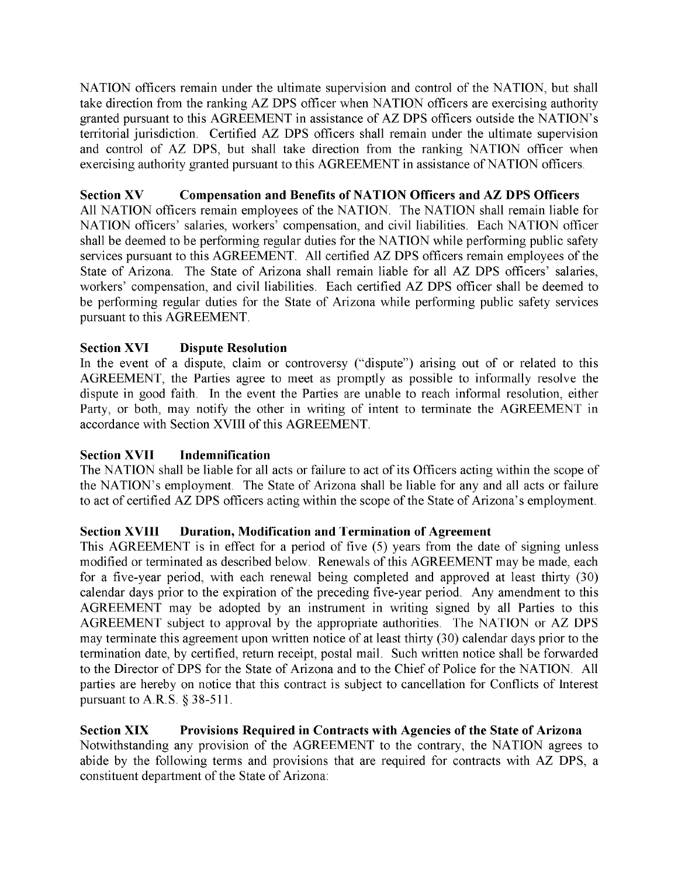NATION officers remain under the ultimate supervision and control of the NATION, but shall take direction from the ranking AZ DPS officer when NATION officers are exercising authority granted pursuant to this AGREEMENT in assistance of AZ DPS officers outside the NATION's territorial jurisdiction. Certified AZ DPS officers shall remain under the ultimate supervision and control of AZ DPS, but shall take direction from the ranking NATION officer when exercising authority granted pursuant to this AGREEMENT in assistance of NATION officers.

## **Section XV Compensation and Benefits of NATION Officers and AZ DPS Officers**

All NATION officers remain employees of the NATION. The NATION shall remain liable for NATION officers' salaries, workers' compensation, and civil liabilities. Each NATION officer shall be deemed to be performing regular duties for the NATION while performing public safety services pursuant to this AGREEMENT. All certified AZ DPS officers remain employees of the State of Arizona. The State of Arizona shall remain liable for all AZ DPS officers' salaries, workers' compensation, and civil liabilities. Each certified AZ DPS officer shall be deemed to be performing regular duties for the State of Arizona while performing public safety services pursuant to this AGREEMENT.

## **Section XVI Dispute Resolution**

In the event of a dispute, claim or controversy ("dispute") arising out of or related to this AGREEMENT, the Parties agree to meet as promptly as possible to informally resolve the dispute in good faith. In the event the Parties are unable to reach informal resolution, either Party, or both, may notify the other in writing of intent to terminate the AGREEMENT in accordance with Section XVIII of this AGREEMENT.

#### **Section XVII** Indemnification

The NATION shall be liable for all acts or failure to act of its Officers acting within the scope of the NATION's employment. The State of Arizona shall be liable for any and all acts or failure to act of certified AZ DPS officers acting within the scope of the State of Arizona's employment.

#### **Section XVIII Duration, Modification and Termination of Agreement**

This AGREEMENT is in effect for a period of five (5) years from the date of signing unless modified or terminated as described below. Renewals of this AGREEMENT may be made, each for a five-year period, with each renewal being completed and approved at least thirty (30) calendar days prior to the expiration of the preceding five-year period. Any amendment to this AGREEMENT may be adopted by an instrument in writing signed by all Parties to this AGREEMENT subject to approval by the appropriate authorities. The NATION or AZ DPS may terminate this agreement upon written notice of at least thirty (30) calendar days prior to the termination date, by certified, return receipt, postal mail. Such written notice shall be forwarded to the Director of DPS for the State of Arizona and to the Chief of Police for the NATION. All parties are hereby on notice that this contract is subject to cancellation for Conflicts of Interest pursuant to A.R.S. § 38-511.

#### **Section XIX Provisions Required in Contracts with Agencies of the State of Arizona** Notwithstanding any provision of the AGREEMENT to the contrary, the NATION agrees to abide by the following terms and provisions that are required for contracts with AZ DPS, a constituent department of the State of Arizona: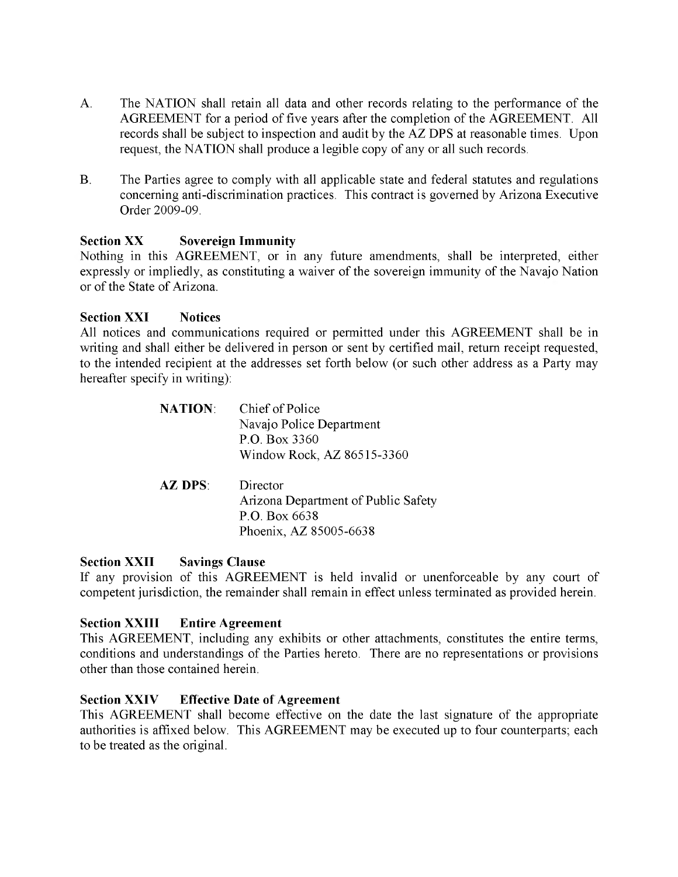- A. The NATION shall retain all data and other records relating to the performance of the AGREEMENT for a period of five years after the completion of the AGREEMENT. All records shall be subject to inspection and audit by the AZ DPS at reasonable times. Upon request, the NATION shall produce a legible copy of any or all such records.
- B. The Parties agree to comply with all applicable state and federal statutes and regulations concerning anti-discrimination practices. This contract is governed by Arizona Executive Order 2009-09.

#### Section XX Sovereign Immunity

Nothing in this AGREEMENT, or in any future amendments, shall be interpreted, either expressly or impliedly, as constituting a waiver of the sovereign immunity of the Navajo Nation or of the State of Arizona.

#### Section XXI Notices

All notices and communications required or permitted under this AGREEMENT shall be in writing and shall either be delivered in person or sent by certified mail, return receipt requested, to the intended recipient at the addresses set forth below (or such other address as a Party may hereafter specify in writing):

| <b>NATION:</b> | Chief of Police                     |
|----------------|-------------------------------------|
|                | Navajo Police Department            |
|                | P.O. Box 3360                       |
|                | Window Rock, AZ 86515-3360          |
|                |                                     |
| <b>AZ DPS:</b> | Director                            |
|                | Arizona Department of Public Safety |
|                | P.O. Box 6638                       |
|                | Phoenix, AZ 85005-6638              |

#### Section XXII Savings Clause

If any provision of this AGREEMENT is held invalid or unenforceable by any court of competent jurisdiction, the remainder shall remain in effect unless terminated as provided herein.

#### Section XXIII Entire Agreement

This AGREEMENT, including any exhibits or other attachments, constitutes the entire terms, conditions and understandings of the Parties hereto. There are no representations or provisions other than those contained herein.

#### Section XXIV Effective Date of Agreement

This AGREEMENT shall become effective on the date the last signature of the appropriate authorities is affixed below. This AGREEMENT may be executed up to four counterparts; each to be treated as the original.